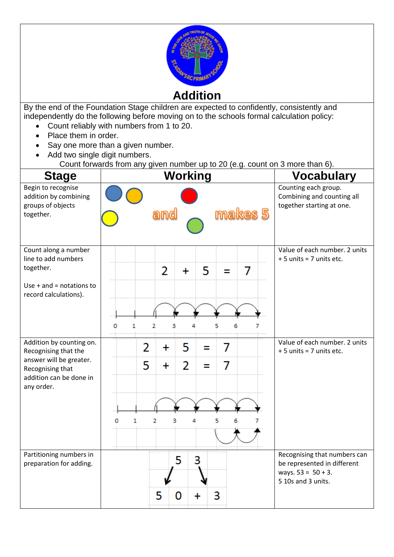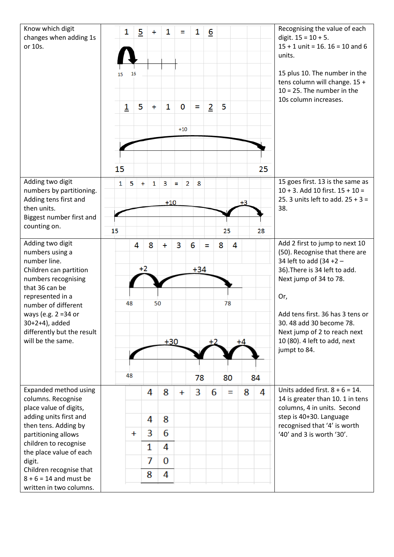| Know which digit<br>changes when adding 1s<br>or 10s.                                                                  |    | 1              | $\overline{5}$ | $\ddot{}$ | 1            | Ξ                 |   | 1          | $\underline{6}$ |    |      |    | Recognising the value of each<br>digit. $15 = 10 + 5$ .<br>$15 + 1$ unit = 16. $16 = 10$ and 6<br>units.                                               |
|------------------------------------------------------------------------------------------------------------------------|----|----------------|----------------|-----------|--------------|-------------------|---|------------|-----------------|----|------|----|--------------------------------------------------------------------------------------------------------------------------------------------------------|
|                                                                                                                        | 15 |                | 16             |           |              |                   |   |            |                 |    |      |    | 15 plus 10. The number in the<br>tens column will change. 15 +<br>$10 = 25$ . The number in the<br>10s column increases.                               |
|                                                                                                                        |    | $\overline{1}$ | 5              | $\ddot{}$ | $\mathbf{1}$ | $\bf{0}$<br>$+10$ |   | Ξ          | $\overline{2}$  | 5  |      |    |                                                                                                                                                        |
|                                                                                                                        | 15 |                |                |           |              |                   |   |            |                 |    |      | 25 |                                                                                                                                                        |
| Adding two digit<br>numbers by partitioning.<br>Adding tens first and<br>then units.<br>Biggest number first and       | 1  | 5              | ÷              | 1         | 3<br>$+10$   | $\equiv$          | 2 | 8          |                 |    | $+3$ |    | 15 goes first. 13 is the same as<br>$10 + 3$ . Add 10 first. $15 + 10 =$<br>25. 3 units left to add. $25 + 3 =$<br>38.                                 |
| counting on.                                                                                                           | 15 |                |                |           |              |                   |   |            |                 | 25 |      | 28 |                                                                                                                                                        |
| Adding two digit<br>numbers using a<br>number line.<br>Children can partition<br>numbers recognising<br>that 36 can be |    |                | 4<br>$+2$      | 8         | $\ddot{}$    | 3                 |   | 6<br>$+34$ | Ξ               | 8  | 4    |    | Add 2 first to jump to next 10<br>(50). Recognise that there are<br>34 left to add (34 +2 -<br>36). There is 34 left to add.<br>Next jump of 34 to 78. |
| represented in a<br>number of different<br>ways (e.g. 2 = 34 or                                                        |    | 48             |                | 50        |              |                   |   |            |                 | 78 |      |    | Or,<br>Add tens first. 36 has 3 tens or                                                                                                                |
| 30+2+4), added<br>differently but the result<br>will be the same.                                                      |    |                |                |           |              | $+30$             |   |            | +2              |    | $+4$ |    | 30.48 add 30 become 78.<br>Next jump of 2 to reach next<br>10 (80). 4 left to add, next<br>jumpt to 84.                                                |
|                                                                                                                        |    | 48             |                |           |              |                   |   | 78         |                 | 80 |      | 84 |                                                                                                                                                        |
| Expanded method using                                                                                                  |    |                |                | 4         | 8            | $\ddot{}$         |   | 3          | 6               | Ξ  | 8    | 4  | Units added first. $8 + 6 = 14$ .                                                                                                                      |
| columns. Recognise<br>place value of digits,                                                                           |    |                |                |           |              |                   |   |            |                 |    |      |    | 14 is greater than 10. 1 in tens<br>columns, 4 in units. Second                                                                                        |
| adding units first and<br>then tens. Adding by                                                                         |    |                |                | 4         | 8            |                   |   |            |                 |    |      |    | step is 40+30. Language<br>recognised that '4' is worth                                                                                                |
| partitioning allows                                                                                                    |    |                | $\ddot{}$      | 3         | 6            |                   |   |            |                 |    |      |    | '40' and 3 is worth '30'.                                                                                                                              |
| children to recognise<br>the place value of each                                                                       |    |                |                | 1         | 4            |                   |   |            |                 |    |      |    |                                                                                                                                                        |
| digit.                                                                                                                 |    |                |                | 7         | 0            |                   |   |            |                 |    |      |    |                                                                                                                                                        |
| Children recognise that<br>$8 + 6 = 14$ and must be                                                                    |    |                |                | 8         | 4            |                   |   |            |                 |    |      |    |                                                                                                                                                        |
| written in two columns.                                                                                                |    |                |                |           |              |                   |   |            |                 |    |      |    |                                                                                                                                                        |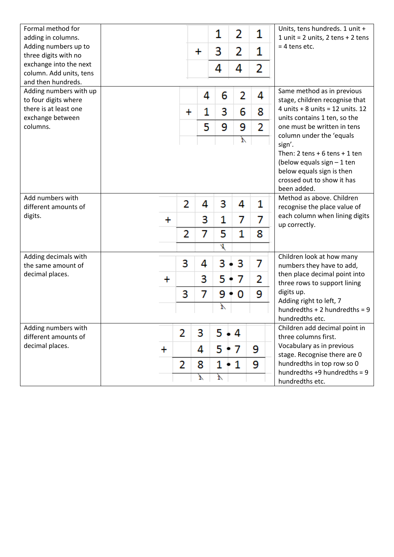| Formal method for<br>adding in columns.        |         |           |    | 1            | 2   | 1 | Units, tens hundreds. 1 unit +<br>1 unit = $2$ units, $2$ tens + $2$ tens |
|------------------------------------------------|---------|-----------|----|--------------|-----|---|---------------------------------------------------------------------------|
| Adding numbers up to<br>three digits with no   |         |           | ╇  | 3            | 2   | 1 | $= 4$ tens etc.                                                           |
| exchange into the next                         |         |           |    | 4            | 4   | 2 |                                                                           |
| column. Add units, tens<br>and then hundreds.  |         |           |    |              |     |   |                                                                           |
| Adding numbers with up<br>to four digits where |         |           | 4  | 6            | 2   | 4 | Same method as in previous<br>stage, children recognise that              |
| there is at least one                          |         | $\ddot{}$ | 1  | 3            | 6   | 8 | 4 units $+8$ units = 12 units. 12                                         |
| exchange between<br>columns.                   |         |           | 5  | 9            | 9   | 2 | units contains 1 ten, so the<br>one must be written in tens               |
|                                                |         |           |    |              | Ì,  |   | column under the 'equals                                                  |
|                                                |         |           |    |              |     |   | sign'.<br>Then: $2$ tens + 6 tens + 1 ten                                 |
|                                                |         |           |    |              |     |   | (below equals sign $-1$ ten                                               |
|                                                |         |           |    |              |     |   | below equals sign is then<br>crossed out to show it has                   |
|                                                |         |           |    |              |     |   | been added.                                                               |
| Add numbers with                               |         | 2         | 4  | 3            | 4   | 1 | Method as above. Children                                                 |
| different amounts of<br>digits.                |         |           |    |              |     |   | recognise the place value of<br>each column when lining digits            |
|                                                | +       |           | 3  | 1            | 7   | 7 | up correctly.                                                             |
|                                                |         | 2         | 7  | 5            | 1   | 8 |                                                                           |
| Adding decimals with                           |         |           |    | 1            |     |   | Children look at how many                                                 |
| the same amount of                             |         | 3         | 4  | 3            | 3   | 7 | numbers they have to add,                                                 |
| decimal places.                                | +       |           | 3  | 5            | 7   | 2 | then place decimal point into<br>three rows to support lining             |
|                                                |         | 3         | 7  | 9            | 0   | 9 | digits up.                                                                |
|                                                |         |           |    | $\mathbf{I}$ |     |   | Adding right to left, 7<br>hundredths $+ 2$ hundredths = 9                |
|                                                |         |           |    |              |     |   | hundredths etc.                                                           |
| Adding numbers with<br>different amounts of    |         | 2         | 3  | 5.           | • 4 |   | Children add decimal point in<br>three columns first.                     |
| decimal places.                                | $\ddag$ |           | 4  | 5.           | 7   | 9 | Vocabulary as in previous<br>stage. Recognise there are 0                 |
|                                                |         | 2         | 8  | 1            | 1   | 9 | hundredths in top row so 0                                                |
|                                                |         |           | Ţ, | $\Lambda$    |     |   | hundredths $+9$ hundredths = 9<br>hundredths etc.                         |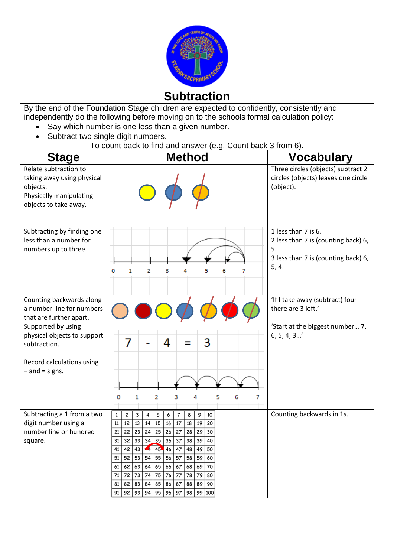

**Subtraction**

By the end of the Foundation Stage children are expected to confidently, consistently and independently do the following before moving on to the schools formal calculation policy:

- Say which number is one less than a given number.
- Subtract two single digit numbers.
	- To count back to find and answer (e.g. Count back 3 from 6).

| <b>Stage</b>                                                                                                                                                                                           | <b>Method</b>                                                                                                                                                                                                                                                                                                                                                                                                                                                                                                                                                                                                                                                        | <b>Vocabulary</b>                                                                                                |
|--------------------------------------------------------------------------------------------------------------------------------------------------------------------------------------------------------|----------------------------------------------------------------------------------------------------------------------------------------------------------------------------------------------------------------------------------------------------------------------------------------------------------------------------------------------------------------------------------------------------------------------------------------------------------------------------------------------------------------------------------------------------------------------------------------------------------------------------------------------------------------------|------------------------------------------------------------------------------------------------------------------|
| Relate subtraction to<br>taking away using physical<br>objects.<br>Physically manipulating<br>objects to take away.                                                                                    |                                                                                                                                                                                                                                                                                                                                                                                                                                                                                                                                                                                                                                                                      | Three circles (objects) subtract 2<br>circles (objects) leaves one circle<br>(object).                           |
| Subtracting by finding one<br>less than a number for<br>numbers up to three.                                                                                                                           | 1<br>2<br>з<br>5<br>6<br>0<br>4<br>7                                                                                                                                                                                                                                                                                                                                                                                                                                                                                                                                                                                                                                 | 1 less than 7 is 6.<br>2 less than 7 is (counting back) 6,<br>5.<br>3 less than 7 is (counting back) 6,<br>5, 4. |
| Counting backwards along<br>a number line for numbers<br>that are further apart.<br>Supported by using<br>physical objects to support<br>subtraction.<br>Record calculations using<br>$-$ and = signs. | 3<br>7<br>4<br>5<br>6<br>1<br>2<br>3<br>7<br>4<br>о                                                                                                                                                                                                                                                                                                                                                                                                                                                                                                                                                                                                                  | 'If I take away (subtract) four<br>there are 3 left.'<br>'Start at the biggest number 7,<br>6, 5, 4, 3'          |
| Subtracting a 1 from a two<br>digit number using a<br>number line or hundred<br>square.                                                                                                                | $\,1\,$<br>$\overline{\mathbf{c}}$<br>3<br>4<br>5<br>$\overline{7}$<br>8<br>9<br>10<br>6<br>15<br>16<br>17<br>20<br>11<br>12<br>13<br>14<br>18<br>19<br>22<br>24<br>25<br>26<br>27<br>29<br>21<br>23<br>28<br>30<br>32<br>35<br>36<br>37<br>31<br>33<br>34<br>38<br>39<br>40<br>$\left  \cdot \right $<br>45 46   47<br>50<br>42<br>  43  <br>48<br>49<br>41  <br>52<br>55<br>56<br>57<br>53<br>54<br>58<br>59<br>60<br>51<br>65<br>62<br> 63 <br>64<br>66 67<br>68<br>69<br>70<br>61<br>77<br>72<br>73 74<br>75<br>76<br>78<br>79<br>80<br>71<br>82<br>85<br>87<br>90<br>81<br>83<br>84<br>86<br>88<br>89<br>91<br>92<br>95<br>96<br>97<br>93<br>94<br>98<br>99 100 | Counting backwards in 1s.                                                                                        |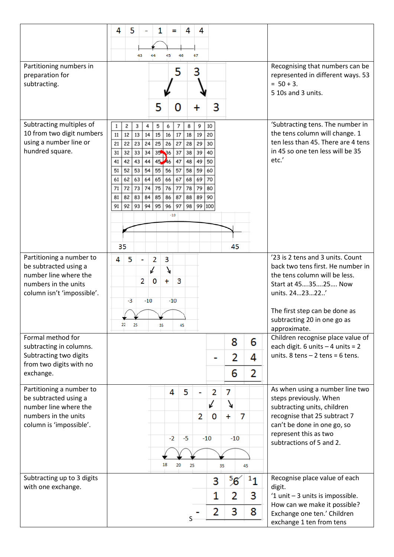|                                                     | 5<br>4<br>4<br>1<br>4<br>Ξ                                                                                           |                                                                         |
|-----------------------------------------------------|----------------------------------------------------------------------------------------------------------------------|-------------------------------------------------------------------------|
|                                                     |                                                                                                                      |                                                                         |
|                                                     | 46<br>47<br>43<br>44<br>45                                                                                           |                                                                         |
| Partitioning numbers in<br>preparation for          | 3<br>5                                                                                                               | Recognising that numbers can be<br>represented in different ways. 53    |
| subtracting.                                        |                                                                                                                      | $= 50 + 3.$<br>5 10s and 3 units.                                       |
|                                                     |                                                                                                                      |                                                                         |
|                                                     | 5<br>3<br>0<br>+                                                                                                     |                                                                         |
| Subtracting multiples of                            | 2<br>9<br>1<br>3<br>5<br>6<br>8<br>10<br>4<br>7                                                                      | 'Subtracting tens. The number in                                        |
| 10 from two digit numbers<br>using a number line or | 15<br>13<br>11<br>12<br>14<br>16<br>17<br>18<br>19<br>20<br>25<br>23<br>24<br>26<br>29<br>21<br>22<br>27<br>28<br>30 | the tens column will change. 1<br>ten less than 45. There are 4 tens    |
| hundred square.                                     | 35 36<br>32<br>33<br>34<br>37<br>39<br>31<br>38<br>40                                                                | in 45 so one ten less will be 35                                        |
|                                                     | 45 46<br>44<br>43<br>42<br>47<br>49<br>50<br>41<br>48<br>54<br>55<br>52 <br>53<br>56<br>57<br>58<br>59<br>51<br>60   | etc.'                                                                   |
|                                                     | 63<br>64<br>65<br>69<br>62<br>66<br>67<br>68<br>70<br>61                                                             |                                                                         |
|                                                     | 75<br>73<br>76<br>72<br>74<br>77<br>78<br>79<br>71<br>80<br>84<br>85<br>82<br>83<br>86<br>88<br>89<br>90<br>81<br>87 |                                                                         |
|                                                     | 91<br>94<br>95<br>96<br>92   93<br>97<br>98<br>99<br>100                                                             |                                                                         |
|                                                     | $-10$                                                                                                                |                                                                         |
|                                                     |                                                                                                                      |                                                                         |
|                                                     | 35<br>45                                                                                                             |                                                                         |
| Partitioning a number to<br>be subtracted using a   | 5<br>4<br>2<br>3                                                                                                     | '23 is 2 tens and 3 units. Count<br>back two tens first. He number in   |
| number line where the                               | 7<br>↙<br>3<br>$\ddot{\phantom{1}}$                                                                                  | the tens column will be less.                                           |
| numbers in the units<br>column isn't 'impossible'.  | 2<br>0                                                                                                               | Start at 453525 Now<br>units. 242322'                                   |
|                                                     | $-10$<br>$-10$<br>-3                                                                                                 |                                                                         |
|                                                     |                                                                                                                      | The first step can be done as<br>subtracting 20 in one go as            |
|                                                     | 22<br>25<br>35<br>45                                                                                                 | approximate.                                                            |
| Formal method for<br>subtracting in columns.        | 8<br>6                                                                                                               | Children recognise place value of<br>each digit. 6 units $-4$ units = 2 |
| Subtracting two digits                              | 2<br>4                                                                                                               | units. $8$ tens $-2$ tens = 6 tens.                                     |
| from two digits with no<br>exchange.                | 2<br>6                                                                                                               |                                                                         |
| Partitioning a number to                            | 5<br>$\overline{2}$<br>4<br>7                                                                                        | As when using a number line two                                         |
| be subtracted using a<br>number line where the      | ٧<br>↙                                                                                                               | steps previously. When<br>subtracting units, children                   |
| numbers in the units                                | 7<br>2<br>0<br>$\ddot{}$                                                                                             | recognise that 25 subtract 7                                            |
| column is 'impossible'.                             |                                                                                                                      | can't be done in one go, so<br>represent this as two                    |
|                                                     | $-2$<br>$-5$<br>$-10$<br>$-10$                                                                                       | subtractions of 5 and 2.                                                |
|                                                     | 18<br>20<br>25<br>35<br>45                                                                                           |                                                                         |
| Subtracting up to 3 digits                          | <sup>5</sup> 6<br>$^{\rm 1}1$<br>3                                                                                   | Recognise place value of each                                           |
| with one exchange.                                  | 1<br>2<br>3                                                                                                          | digit.<br>'1 unit $-$ 3 units is impossible.                            |
|                                                     | 2<br>3<br>8                                                                                                          | How can we make it possible?                                            |
|                                                     |                                                                                                                      | Exchange one ten.' Children<br>exchange 1 ten from tens                 |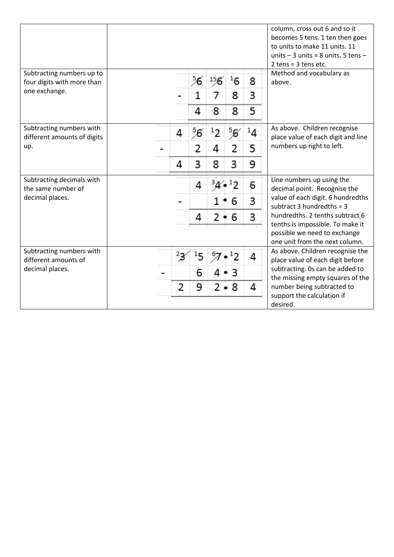|                                                         |               |                |                      |               |                      | column, cross out 6 and so it<br>becomes 5 tens. 1 ten then goes<br>to units to make 11 units. 11<br>units $-3$ units = 8 units. 5 tens $-$<br>$2$ tens = $3$ tens etc. |
|---------------------------------------------------------|---------------|----------------|----------------------|---------------|----------------------|-------------------------------------------------------------------------------------------------------------------------------------------------------------------------|
| Subtracting numbers up to<br>four digits with more than |               | 56             | $^{15}$ <sup>6</sup> | $^1$ 6        | 8                    | Method and vocabulary as<br>above.                                                                                                                                      |
| one exchange.                                           |               |                |                      | 8             | 3                    |                                                                                                                                                                         |
|                                                         |               | 4              | 8                    | 8             | 5                    |                                                                                                                                                                         |
| Subtracting numbers with<br>different amounts of digits | 4             | <sup>5</sup> 6 |                      | $^5\!{\rm g}$ | $\boldsymbol{^{14}}$ | As above. Children recognise<br>place value of each digit and line                                                                                                      |
| up.                                                     |               | 2              | 4                    |               | 5                    | numbers up right to left.                                                                                                                                               |
|                                                         | 4             | 3              | 8                    | 3             | 9                    |                                                                                                                                                                         |
| Subtracting decimals with<br>the same number of         |               | 4              |                      |               | 6                    | Line numbers up using the<br>decimal point. Recognise the                                                                                                               |
| decimal places.                                         |               |                |                      | 6             | 3                    | value of each digit. 6 hundredths<br>subtract 3 hundredths = $3$                                                                                                        |
|                                                         |               | 4              | 2                    | 6             | 3                    | hundredths. 2 tenths subtract 6<br>tenths is impossible. To make it                                                                                                     |
|                                                         |               |                |                      |               |                      | possible we need to exchange<br>one unit from the next column.                                                                                                          |
| Subtracting numbers with<br>different amounts of        | $2\mathbf{3}$ |                |                      |               | 4                    | As above. Children recognise the<br>place value of each digit before                                                                                                    |
| decimal places.                                         |               | 6              |                      |               |                      | subtracting. Os can be added to<br>the missing empty squares of the                                                                                                     |
|                                                         | 2             | 9              |                      | 8             | 4                    | number being subtracted to<br>support the calculation if                                                                                                                |
|                                                         |               |                |                      |               |                      | desired.                                                                                                                                                                |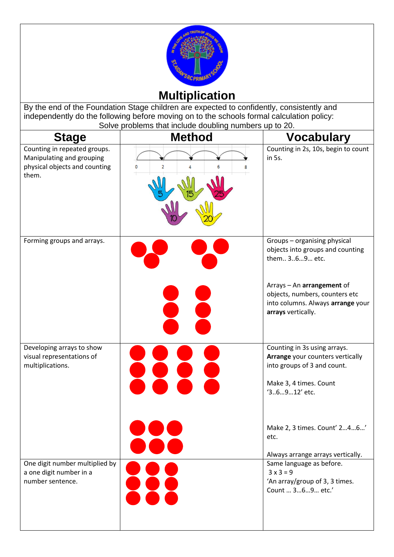

## **Multiplication**

By the end of the Foundation Stage children are expected to confidently, consistently and independently do the following before moving on to the schools formal calculation policy: Solve problems that include doubling numbers up to 20.

| <b>Stage</b>                                                                                        | <b>Method</b> | <b>Vocabulary</b>                                                                                                                         |
|-----------------------------------------------------------------------------------------------------|---------------|-------------------------------------------------------------------------------------------------------------------------------------------|
| Counting in repeated groups.<br>Manipulating and grouping<br>physical objects and counting<br>them. | 0<br>2        | Counting in 2s, 10s, begin to count<br>in 5s.                                                                                             |
| Forming groups and arrays.                                                                          |               | Groups - organising physical<br>objects into groups and counting<br>them 369 etc.                                                         |
|                                                                                                     |               | Arrays - An arrangement of<br>objects, numbers, counters etc<br>into columns. Always arrange your<br>arrays vertically.                   |
| Developing arrays to show<br>visual representations of<br>multiplications.                          |               | Counting in 3s using arrays.<br>Arrange your counters vertically<br>into groups of 3 and count.<br>Make 3, 4 times. Count<br>'36912' etc. |
|                                                                                                     |               | Make 2, 3 times. Count' 246<br>etc.<br>Always arrange arrays vertically.                                                                  |
| One digit number multiplied by<br>a one digit number in a<br>number sentence.                       |               | Same language as before.<br>$3x3=9$<br>'An array/group of 3, 3 times.<br>Count  369 etc.'                                                 |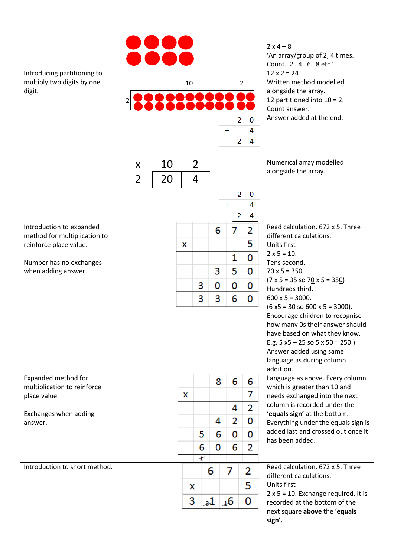| Introducing partitioning to<br>multiply two digits by one<br>digit. |                     |          | 10 |                     |         | 2<br>$+$<br>2                                 | $\overline{2}$<br>0<br>4<br>4 | $2x4 - 8$<br>'An array/group of 2, 4 times.<br>Count2468 etc.'<br>$12 \times 2 = 24$<br>Written method modelled<br>alongside the array.<br>12 partitioned into $10 = 2$ .<br>Count answer.<br>Answer added at the end.                             |
|---------------------------------------------------------------------|---------------------|----------|----|---------------------|---------|-----------------------------------------------|-------------------------------|----------------------------------------------------------------------------------------------------------------------------------------------------------------------------------------------------------------------------------------------------|
|                                                                     | X<br>$\overline{2}$ | 10<br>20 |    | $\overline{2}$<br>4 |         | $\overline{2}$<br>$\ddot{}$<br>$\overline{2}$ | 0<br>4<br>4                   | Numerical array modelled<br>alongside the array.                                                                                                                                                                                                   |
| Introduction to expanded<br>method for multiplication to            |                     |          |    |                     | 6       | 7                                             | 2                             | Read calculation. 672 x 5. Three<br>different calculations.                                                                                                                                                                                        |
| reinforce place value.                                              |                     |          | X  |                     |         |                                               | 5                             | Units first<br>$2 \times 5 = 10$ .                                                                                                                                                                                                                 |
| Number has no exchanges<br>when adding answer.                      |                     |          |    |                     | 3       | 1<br>5                                        | 0<br>0                        | Tens second.<br>$70 \times 5 = 350.$                                                                                                                                                                                                               |
|                                                                     |                     |          |    | 3                   | 0       | 0                                             | 0                             | $(7 \times 5 = 35 \text{ so } 70 \times 5 = 350)$                                                                                                                                                                                                  |
|                                                                     |                     |          |    | 3                   | 3       | 6                                             | 0                             | Hundreds third.<br>$600 \times 5 = 3000.$                                                                                                                                                                                                          |
|                                                                     |                     |          |    |                     |         |                                               |                               | $(6 x5 = 30 so 600 x 5 = 3000).$<br>Encourage children to recognise<br>how many 0s their answer should<br>have based on what they know.<br>E.g. $5 x5 - 25 x5 = 5x50 = 250$ .<br>Answer added using same<br>language as during column<br>addition. |
| Expanded method for<br>multiplication to reinforce                  |                     |          |    |                     | 8       | 6                                             | 6                             | Language as above. Every column<br>which is greater than 10 and                                                                                                                                                                                    |
| place value.                                                        |                     |          | x  |                     |         |                                               | 7                             | needs exchanged into the next                                                                                                                                                                                                                      |
| Exchanges when adding                                               |                     |          |    |                     |         | 4                                             | 2                             | column is recorded under the<br>'equals sign' at the bottom.                                                                                                                                                                                       |
| answer.                                                             |                     |          |    |                     | 4       | 2                                             | 0                             | Everything under the equals sign is                                                                                                                                                                                                                |
|                                                                     |                     |          |    | 5                   | 6       | 0                                             | 0                             | added last and crossed out once it<br>has been added.                                                                                                                                                                                              |
|                                                                     |                     |          |    | 6<br>ł              | 0       | 6                                             | 2                             |                                                                                                                                                                                                                                                    |
| Introduction to short method.                                       |                     |          |    |                     | 6       | 7                                             | 2                             | Read calculation. 672 x 5. Three                                                                                                                                                                                                                   |
|                                                                     |                     |          |    | x                   |         |                                               | 5                             | different calculations.<br>Units first                                                                                                                                                                                                             |
|                                                                     |                     |          |    | 3                   | $_{3}1$ | 46                                            | 0                             | $2 \times 5 = 10$ . Exchange required. It is<br>recorded at the bottom of the                                                                                                                                                                      |
|                                                                     |                     |          |    |                     |         |                                               |                               | next square above the 'equals<br>sign'.                                                                                                                                                                                                            |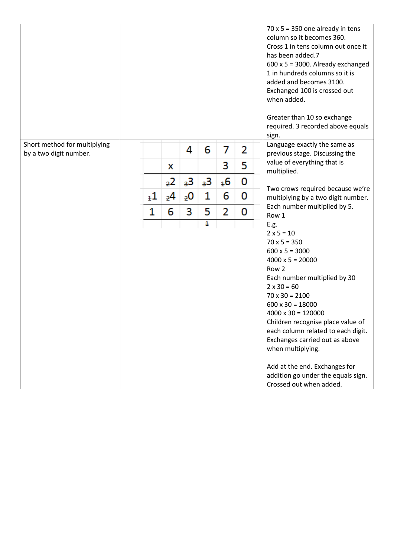|                                                        |         |                |    |    |                |   | $70 \times 5 = 350$ one already in tens<br>column so it becomes 360.<br>Cross 1 in tens column out once it<br>has been added.7<br>$600 \times 5 = 3000$ . Already exchanged<br>1 in hundreds columns so it is<br>added and becomes 3100. |
|--------------------------------------------------------|---------|----------------|----|----|----------------|---|------------------------------------------------------------------------------------------------------------------------------------------------------------------------------------------------------------------------------------------|
|                                                        |         |                |    |    |                |   | Exchanged 100 is crossed out<br>when added.<br>Greater than 10 so exchange                                                                                                                                                               |
|                                                        |         |                |    |    |                |   | required. 3 recorded above equals<br>sign.                                                                                                                                                                                               |
| Short method for multiplying<br>by a two digit number. |         |                | 4  | 6  | 7              | 2 | Language exactly the same as<br>previous stage. Discussing the                                                                                                                                                                           |
|                                                        |         | X              |    |    | 3              | 5 | value of everything that is<br>multiplied.                                                                                                                                                                                               |
|                                                        |         | 22             | 3З | 3З | <sub>1</sub> 6 | 0 | Two crows required because we're                                                                                                                                                                                                         |
|                                                        | $_{1}1$ | 2 <sub>4</sub> | 20 | 1  | 6              | 0 | multiplying by a two digit number.<br>Each number multiplied by 5.                                                                                                                                                                       |
|                                                        | 1       | 6              | 3  | 5  | 2              | 0 | Row 1                                                                                                                                                                                                                                    |
|                                                        |         |                |    | 1  |                |   | E.g.<br>$2 \times 5 = 10$                                                                                                                                                                                                                |
|                                                        |         |                |    |    |                |   | $70 \times 5 = 350$<br>$600 \times 5 = 3000$                                                                                                                                                                                             |
|                                                        |         |                |    |    |                |   | $4000 \times 5 = 20000$                                                                                                                                                                                                                  |
|                                                        |         |                |    |    |                |   | Row 2                                                                                                                                                                                                                                    |
|                                                        |         |                |    |    |                |   | Each number multiplied by 30<br>$2 \times 30 = 60$                                                                                                                                                                                       |
|                                                        |         |                |    |    |                |   | $70 \times 30 = 2100$                                                                                                                                                                                                                    |
|                                                        |         |                |    |    |                |   | $600 \times 30 = 18000$<br>$4000 \times 30 = 120000$                                                                                                                                                                                     |
|                                                        |         |                |    |    |                |   | Children recognise place value of                                                                                                                                                                                                        |
|                                                        |         |                |    |    |                |   | each column related to each digit.<br>Exchanges carried out as above                                                                                                                                                                     |
|                                                        |         |                |    |    |                |   | when multiplying.                                                                                                                                                                                                                        |
|                                                        |         |                |    |    |                |   | Add at the end. Exchanges for<br>addition go under the equals sign.<br>Crossed out when added.                                                                                                                                           |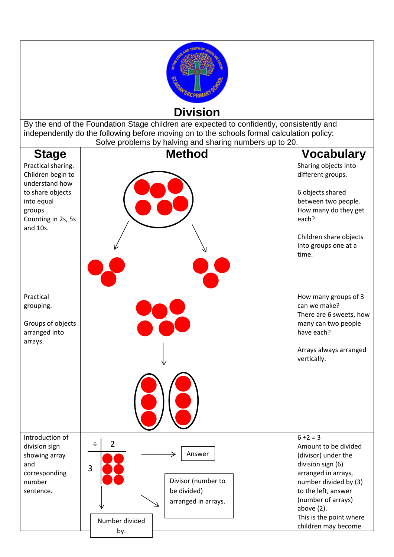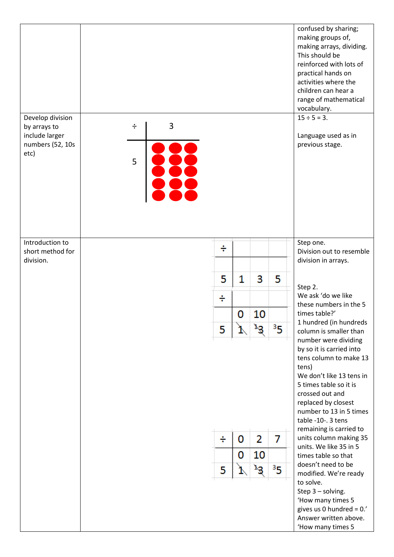| Develop division<br>by arrays to<br>include larger<br>numbers (52, 10s | $\div$ | 3 |        |        |               |                     | confused by sharing;<br>making groups of,<br>making arrays, dividing.<br>This should be<br>reinforced with lots of<br>practical hands on<br>activities where the<br>children can hear a<br>range of mathematical<br>vocabulary.<br>$15 \div 5 = 3$ .<br>Language used as in<br>previous stage.                                                                                                                                                                                                                               |
|------------------------------------------------------------------------|--------|---|--------|--------|---------------|---------------------|------------------------------------------------------------------------------------------------------------------------------------------------------------------------------------------------------------------------------------------------------------------------------------------------------------------------------------------------------------------------------------------------------------------------------------------------------------------------------------------------------------------------------|
| etc)<br>Introduction to                                                | 5      |   |        |        |               |                     | Step one.                                                                                                                                                                                                                                                                                                                                                                                                                                                                                                                    |
| short method for<br>division.                                          |        |   | ÷      |        |               |                     | Division out to resemble<br>division in arrays.                                                                                                                                                                                                                                                                                                                                                                                                                                                                              |
|                                                                        |        |   | 5      | 1      | 3             | 5                   |                                                                                                                                                                                                                                                                                                                                                                                                                                                                                                                              |
|                                                                        |        |   | ÷      |        |               |                     | Step 2.<br>We ask 'do we like<br>these numbers in the 5                                                                                                                                                                                                                                                                                                                                                                                                                                                                      |
|                                                                        |        |   |        | 0      | 10            |                     | times table?'                                                                                                                                                                                                                                                                                                                                                                                                                                                                                                                |
|                                                                        |        |   | 5      |        |               | 3 <sub>5</sub>      | 1 hundred (in hundreds<br>column is smaller than                                                                                                                                                                                                                                                                                                                                                                                                                                                                             |
|                                                                        |        |   | ÷<br>5 | 0<br>0 | 2<br>10<br>уЗ | 7<br>3 <sub>5</sub> | number were dividing<br>by so it is carried into<br>tens column to make 13<br>tens)<br>We don't like 13 tens in<br>5 times table so it is<br>crossed out and<br>replaced by closest<br>number to 13 in 5 times<br>table -10-. 3 tens<br>remaining is carried to<br>units column making 35<br>units. We like 35 in 5<br>times table so that<br>doesn't need to be<br>modified. We're ready<br>to solve.<br>Step 3 - solving.<br>'How many times 5<br>gives us 0 hundred = $0.'$<br>Answer written above.<br>'How many times 5 |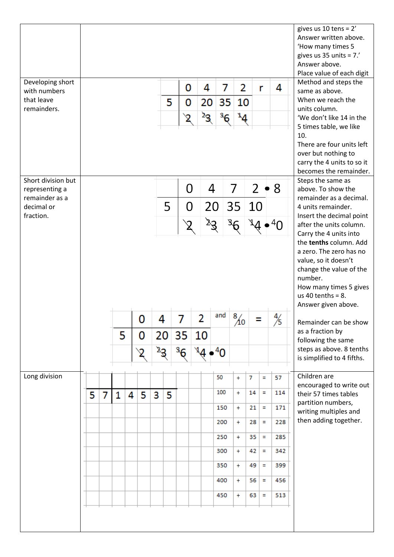|                    |   |   |   |   |   |    |    |               |                           |    |        |                     |    |   |     | gives us 10 tens = $2'$                     |
|--------------------|---|---|---|---|---|----|----|---------------|---------------------------|----|--------|---------------------|----|---|-----|---------------------------------------------|
|                    |   |   |   |   |   |    |    |               |                           |    |        |                     |    |   |     | Answer written above.                       |
|                    |   |   |   |   |   |    |    |               |                           |    |        |                     |    |   |     | 'How many times 5                           |
|                    |   |   |   |   |   |    |    |               |                           |    |        |                     |    |   |     | gives us 35 units = $7.'$                   |
|                    |   |   |   |   |   |    |    |               |                           |    |        |                     |    |   |     | Answer above.                               |
|                    |   |   |   |   |   |    |    |               |                           |    |        |                     |    |   |     | Place value of each digit                   |
| Developing short   |   |   |   |   |   |    |    |               |                           |    |        |                     |    |   |     | Method and steps the                        |
| with numbers       |   |   |   |   |   |    |    | 0             |                           | 4  | 7      | 2                   |    | r | 4   | same as above.                              |
| that leave         |   |   |   |   |   |    | 5  | 0             |                           | 20 | 35     | 10                  |    |   |     | When we reach the                           |
| remainders.        |   |   |   |   |   |    |    |               |                           |    |        |                     |    |   |     | units column.                               |
|                    |   |   |   |   |   |    |    |               |                           | 2g | $^3$ 6 | $\mathbf{A}^{\ell}$ |    |   |     | 'We don't like 14 in the                    |
|                    |   |   |   |   |   |    |    |               |                           |    |        |                     |    |   |     | 5 times table, we like                      |
|                    |   |   |   |   |   |    |    |               |                           |    |        |                     |    |   |     | 10.                                         |
|                    |   |   |   |   |   |    |    |               |                           |    |        |                     |    |   |     | There are four units left                   |
|                    |   |   |   |   |   |    |    |               |                           |    |        |                     |    |   |     | over but nothing to                         |
|                    |   |   |   |   |   |    |    |               |                           |    |        |                     |    |   |     | carry the 4 units to so it                  |
|                    |   |   |   |   |   |    |    |               |                           |    |        |                     |    |   |     | becomes the remainder.                      |
|                    |   |   |   |   |   |    |    |               |                           |    |        |                     |    |   |     |                                             |
| Short division but |   |   |   |   |   |    |    |               |                           |    |        |                     |    |   |     | Steps the same as                           |
| representing a     |   |   |   |   |   |    |    | 0             |                           | 4  |        | 7                   | 2  |   | • 8 | above. To show the                          |
| remainder as a     |   |   |   |   |   |    |    |               |                           |    |        |                     |    |   |     | remainder as a decimal.                     |
| decimal or         |   |   |   |   |   |    | 5  | O             |                           | 20 |        | 35                  | 10 |   |     | 4 units remainder.                          |
| fraction.          |   |   |   |   |   |    |    |               |                           |    |        |                     |    |   |     | Insert the decimal point                    |
|                    |   |   |   |   |   |    |    | $\sqrt{2}$    |                           | 23 |        |                     |    |   |     | after the units column.                     |
|                    |   |   |   |   |   |    |    |               |                           |    |        |                     |    |   |     | Carry the 4 units into                      |
|                    |   |   |   |   |   |    |    |               |                           |    |        |                     |    |   |     | the tenths column. Add                      |
|                    |   |   |   |   |   |    |    |               |                           |    |        |                     |    |   |     | a zero. The zero has no                     |
|                    |   |   |   |   |   |    |    |               |                           |    |        |                     |    |   |     | value, so it doesn't                        |
|                    |   |   |   |   |   |    |    |               |                           |    |        |                     |    |   |     | change the value of the                     |
|                    |   |   |   |   |   |    |    |               |                           |    |        |                     |    |   |     | number.                                     |
|                    |   |   |   |   |   |    |    |               |                           |    |        |                     |    |   |     | How many times 5 gives                      |
|                    |   |   |   |   |   |    |    |               |                           |    |        |                     |    |   |     | us 40 tenths = $8$ .                        |
|                    |   |   |   |   |   |    |    |               |                           |    |        |                     |    |   |     | Answer given above.                         |
|                    |   |   |   |   |   |    |    |               |                           |    | and    |                     |    |   |     |                                             |
|                    |   |   |   |   |   | 4  |    |               |                           |    |        | $\frac{8}{10}$      |    |   | /5  | Remainder can be show                       |
|                    |   |   | 5 |   | 0 |    | 20 | 35            | 10                        |    |        |                     |    |   |     | as a fraction by<br>following the same      |
|                    |   |   |   |   |   | ঽঽ |    | $\sqrt[3]{6}$ | $\mathbf{P}^{\mathbf{F}}$ |    | ,40    |                     |    |   |     | steps as above. 8 tenths                    |
|                    |   |   |   |   |   |    |    |               |                           |    |        |                     |    |   |     | is simplified to 4 fifths.                  |
| Long division      |   |   |   |   |   |    |    |               |                           |    | 50     | $\ddot{}$           | 7  | Ξ | 57  | Children are                                |
|                    |   |   |   |   |   |    |    |               |                           |    |        |                     |    |   |     | encouraged to write out                     |
|                    | 5 | 7 | 1 | 4 | 5 | 3  | 5. |               |                           |    | 100    | $\ddot{}$           | 14 | Ξ | 114 | their 57 times tables                       |
|                    |   |   |   |   |   |    |    |               |                           |    | 150    | $\ddot{}$           | 21 | Ξ | 171 | partition numbers,<br>writing multiples and |
|                    |   |   |   |   |   |    |    |               |                           |    | 200    | $\ddot{}$           | 28 | Ξ | 228 | then adding together.                       |
|                    |   |   |   |   |   |    |    |               |                           |    | 250    | $\ddot{}$           | 35 | Ξ | 285 |                                             |
|                    |   |   |   |   |   |    |    |               |                           |    | 300    | $\ddot{}$           | 42 | Ξ | 342 |                                             |
|                    |   |   |   |   |   |    |    |               |                           |    | 350    | $\ddot{}$           | 49 | Ξ | 399 |                                             |
|                    |   |   |   |   |   |    |    |               |                           |    |        |                     |    |   |     |                                             |
|                    |   |   |   |   |   |    |    |               |                           |    | 400    | $+$                 | 56 | Ξ | 456 |                                             |
|                    |   |   |   |   |   |    |    |               |                           |    | 450    | $\ddot{}$           | 63 | Ξ | 513 |                                             |
|                    |   |   |   |   |   |    |    |               |                           |    |        |                     |    |   |     |                                             |
|                    |   |   |   |   |   |    |    |               |                           |    |        |                     |    |   |     |                                             |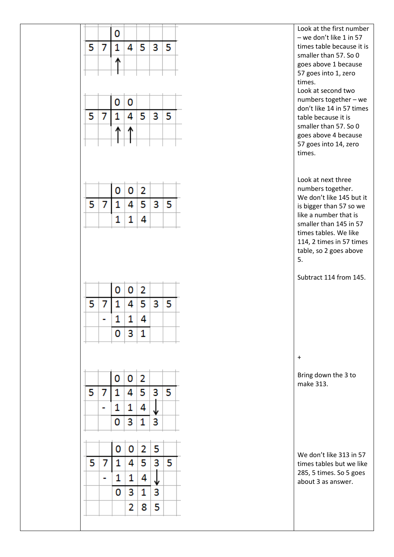|   |   | 0 |   |    |   |   | Look at the first number<br>$-$ we don't like 1 in 57                                                                                                                                 |
|---|---|---|---|----|---|---|---------------------------------------------------------------------------------------------------------------------------------------------------------------------------------------|
| 5 | 7 | 1 | 4 | 5  | 3 | 5 | times table because it is                                                                                                                                                             |
|   |   | Ѧ |   |    |   |   | smaller than 57. So 0<br>goes above 1 because                                                                                                                                         |
|   |   |   |   |    |   |   | 57 goes into 1, zero                                                                                                                                                                  |
|   |   |   |   |    |   |   | times.<br>Look at second two                                                                                                                                                          |
|   |   | 0 | 0 |    |   |   | numbers together - we                                                                                                                                                                 |
| 5 | 7 | 1 | 4 | 5  | 3 | 5 | don't like 14 in 57 times<br>table because it is                                                                                                                                      |
|   |   |   |   |    |   |   | smaller than 57. So 0                                                                                                                                                                 |
|   |   |   |   |    |   |   | goes above 4 because<br>57 goes into 14, zero                                                                                                                                         |
|   |   |   |   |    |   |   | times.                                                                                                                                                                                |
|   |   |   |   |    |   |   |                                                                                                                                                                                       |
|   |   |   |   |    |   |   | Look at next three<br>numbers together.                                                                                                                                               |
|   |   | 0 | 0 | 2  |   |   | We don't like 145 but it                                                                                                                                                              |
| 5 | 7 | 1 | 4 | 5. | 3 | 5 | is bigger than 57 so we<br>like a number that is                                                                                                                                      |
|   |   | 1 | 1 | 4  |   |   | smaller than 145 in 57                                                                                                                                                                |
|   |   |   |   |    |   |   | times tables. We like                                                                                                                                                                 |
|   |   |   |   |    |   |   |                                                                                                                                                                                       |
|   |   |   |   |    |   |   |                                                                                                                                                                                       |
|   |   |   |   |    |   |   | 5.                                                                                                                                                                                    |
|   |   |   |   |    |   |   |                                                                                                                                                                                       |
|   |   | 0 | o | 2  |   |   |                                                                                                                                                                                       |
| 5 | 7 | 1 | 4 | 5  | 3 | 5 |                                                                                                                                                                                       |
|   | - | 1 | 1 | 4  |   |   |                                                                                                                                                                                       |
|   |   | 0 | 3 | 1  |   |   |                                                                                                                                                                                       |
|   |   |   |   |    |   |   | $\begin{array}{c} + \end{array}$                                                                                                                                                      |
|   |   |   |   |    |   |   |                                                                                                                                                                                       |
|   |   | 0 | 0 | 2  |   |   | make 313.                                                                                                                                                                             |
| 5 | 7 | 1 | 4 | 5  | 3 | 5 |                                                                                                                                                                                       |
|   |   | 1 | 1 | 4  |   |   |                                                                                                                                                                                       |
|   |   | 0 | 3 | 1  | 3 |   |                                                                                                                                                                                       |
|   |   | 0 | 0 | 2  | 5 |   |                                                                                                                                                                                       |
| 5 | 7 | 1 | 4 | 5  | 3 | 5 |                                                                                                                                                                                       |
|   |   | 1 | 1 | 4  |   |   | 114, 2 times in 57 times<br>table, so 2 goes above<br>Subtract 114 from 145.<br>Bring down the 3 to<br>We don't like 313 in 57<br>times tables but we like<br>285, 5 times. So 5 goes |
|   |   | 0 | 3 | 1  | 3 |   | about 3 as answer.                                                                                                                                                                    |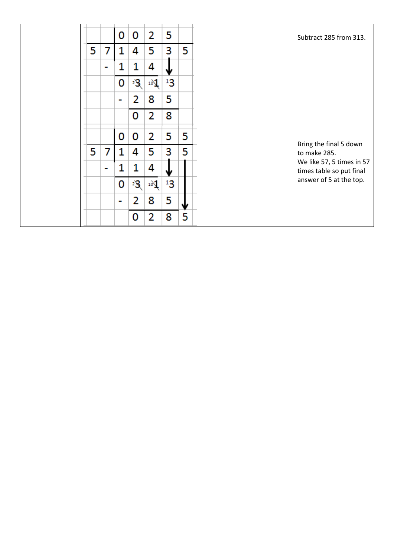|    |                | 0 | 0  | 2               | 5       |   | Subtract 285 from 313.                                |
|----|----------------|---|----|-----------------|---------|---|-------------------------------------------------------|
| 5. | 7              | 1 | 4  | 5               | 3       | 5 |                                                       |
|    | $\blacksquare$ | 1 | 1  | 4               | Ψ       |   |                                                       |
|    |                | 0 | 23 | 10 <sup>1</sup> | $^{13}$ |   |                                                       |
|    |                | ٠ | 2  | 8               | 5       |   |                                                       |
|    |                |   | 0  | 2               | 8       |   |                                                       |
|    |                | 0 | 0  | 2               | 5       | 5 |                                                       |
| 5. | 7              | 1 | 4  | 5               | 3       | 5 | Bring the final 5 down<br>to make 285.                |
|    | $\blacksquare$ | 1 | 1  | 4               | Ψ       |   | We like 57, 5 times in 57<br>times table so put final |
|    |                | 0 | 23 | 10 <sup>1</sup> | $^{13}$ |   | answer of 5 at the top.                               |
|    |                | ш | 2  | 8               | 5       | w |                                                       |
|    |                |   | 0  | 2               | 8       | 5 |                                                       |